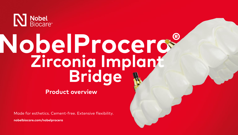

# **NobelProcera® Bridge Zirconia Implant**

# **Product overview**

Made for esthetics. Cement-free. Extensive flexibility.

**[nobelbiocare.com/nobelprocera](https://www.nobelbiocare.com/en-int/nobelprocera-restorations)**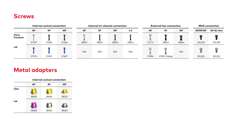### **Screws**



# **Metal adapters**

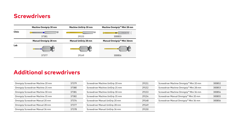#### **Screwdrivers**



Ξ

# **Additional screwdrivers**

| Omnigrip Screwdriver Machine 20 mm | 37379 |
|------------------------------------|-------|
| Omnigrip Screwdriver Machine 25 mm | 37380 |
| Omnigrip Screwdriver Machine 30 mm | 37381 |
| Omnigrip Screwdriver Machine 35 mm | 37382 |
| Omnigrip Screwdriver Manual 20 mm  | 37376 |
| Omnigrip Screwdriver Manual 28 mm  | 37377 |
| Omnigrip Screwdriver Manual 36 mm  | 37378 |

| Screwdriver Machine UniGrip 20 mm | 29151 |
|-----------------------------------|-------|
| Screwdriver Machine UniGrip 25 mm | 29152 |
| Screwdriver Machine UniGrip 30 mm | 29153 |
| Screwdriver Machine UniGrip 35 mm | 29154 |
| Screwdriver Manual UniGrip 20 mm  | 29148 |
| Screwdriver Manual UniGrip 28 mm  | 29149 |
| Screwdriver Manual UniGrip 36 mm  | 29150 |
|                                   |       |

| Screwdriver Machine Omnigrip™ Mini 20 mm | 300852 |
|------------------------------------------|--------|
| Screwdriver Machine Omnigrip™ Mini 28 mm | 300853 |
| Screwdriver Machine Omnigrip™ Mini 36 mm | 300854 |
| Screwdriver Manual Omnigrip™ Mini 20 mm  | 300855 |
| Screwdriver Manual Omnigrip™ Mini 36 mm  | 300856 |
|                                          |        |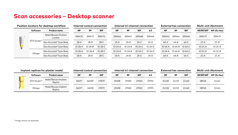# **Scan accessories – Desktop scanner**

| Position locators for desktop workflow                                                                                                                                                                                                                                                                                                                                                                                                           |             | Internal conical connection       |             |             |             |  | Internal tri-channel connection |             |           |           | <b>External hex connection</b> | <b>Multi-unit Abutment</b> |           |                     |                |
|--------------------------------------------------------------------------------------------------------------------------------------------------------------------------------------------------------------------------------------------------------------------------------------------------------------------------------------------------------------------------------------------------------------------------------------------------|-------------|-----------------------------------|-------------|-------------|-------------|--|---------------------------------|-------------|-----------|-----------|--------------------------------|----------------------------|-----------|---------------------|----------------|
|                                                                                                                                                                                                                                                                                                                                                                                                                                                  | Software    | <b>Product name</b>               | <b>NP</b>   | <b>RP</b>   | <b>WP</b>   |  | <b>NP</b>                       | <b>RP</b>   | <b>WP</b> | 6.0       | <b>NP</b>                      | <b>RP</b>                  | <b>WP</b> | NP/RP/WP            | WP (Ex Hex)    |
| $\begin{array}{ c c }\hline \rule{0pt}{12.5ex} & \quad \quad \text{B} \\\hline \rule{0pt}{12.5ex} & \quad \quad \text{B} \\\hline \rule{0pt}{12.5ex} & \quad \quad \text{C} \\\hline \rule{0pt}{12.5ex} & \quad \quad \text{A} \\\hline \rule{0pt}{12.5ex} & \quad \quad \text{A} \\\hline \rule{0pt}{12.5ex} & \quad \quad \text{A} \\\hline \rule{0pt}{12.5ex} & \quad \quad \text{A} \\\hline \rule{0pt}{12.5ex} & \quad \quad \text{A} \\\h$ | DTX Studio™ | Nobel Biocare Position<br>Locator | 300470      | 300471      | 300472      |  | 300466                          | 300467      | 300468    | 300469    | 300463                         | 300464                     | 300465    | 300473              | 300474         |
|                                                                                                                                                                                                                                                                                                                                                                                                                                                  |             | Elos Accurate® Scan Body          | $2B-A$      | $2B-B$      | $2B-C$      |  | $2A-A$                          | $2A-B$      | $2A-C$    | $2A-D$    | $6A-A$                         | $6A-B$                     | $6A-C$    | $2C-A$              | $2C-B$         |
|                                                                                                                                                                                                                                                                                                                                                                                                                                                  |             | Elos Accurate® Scan Body          | $IO$ 2B-A   | $IO$ 2B-B*  | $IO$ $2B-C$ |  | $IO$ 2A-A                       | $IO$ $2A-B$ | IO 2A-C   | $IO$ 2A-D | IO 6A-A                        | $IO 6A-B$                  | IO 6A-C   | IO 2C-A             | <b>IO 2C-B</b> |
|                                                                                                                                                                                                                                                                                                                                                                                                                                                  | 3Shape      | Elos Accurate® Scan Body          | $IO$ $2B-A$ | $IO$ $2B-B$ | $IO$ $2B-C$ |  | $IO$ $2A-A$                     | IO 2A-B     | IO 2A-C   | IO 2A-D   | $IO6A-A$                       | $IO$ 6A-B                  | IO 6A-C   | IO <sub>2</sub> C-A | <b>IO 2C-B</b> |
|                                                                                                                                                                                                                                                                                                                                                                                                                                                  |             | Elos Accurate® Scan Body          | $2B-A$      | $2B-B$      | $2B-C$      |  | $2A-A$                          | $2A-B$      | $2A-C$    | $2A-D$    | 6A-A                           | $6A-B$                     | $6A-C$    | $2C-A$              | $2C-B$         |

| Implant replicas for plaster model |             |                                  |           |        | Internal conical connection |           |           | Internal tri-channel connection |       | <b>External hex connection</b> |           |           |  | Multi-unit Abutment |             |  |
|------------------------------------|-------------|----------------------------------|-----------|--------|-----------------------------|-----------|-----------|---------------------------------|-------|--------------------------------|-----------|-----------|--|---------------------|-------------|--|
| $\rightarrow$                      | Software    | <b>Product name</b>              | <b>NP</b> | RP     | <b>WP</b>                   | <b>NP</b> | <b>RP</b> | <b>WP</b>                       | 6.0   | <b>NP</b>                      | <b>RP</b> | <b>WP</b> |  | NP/RP/WP            | WP (Ex Hex) |  |
|                                    | DTX Studio™ | Nobel Biocare Implant<br>Replica | 36697     | 36698* | 37879                       | 29498     | 29500     | 29502                           | 29995 | 31158                          | 31159     | 31160     |  | 38918               | 31162       |  |
|                                    | 3Shape      | Nobel Biocare Implant<br>Replica | 36697     | 36698  | 37879                       | 29498     | 29500     | 29502                           | 29995 | 31158                          | 31159     | 31160     |  | 38918               | 31162       |  |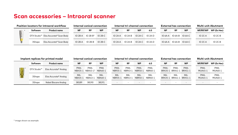# **Scan accessories – Intraoral scanner**

| <b>Position locators for intraoral workflow</b> |          |                                                  |             |                      | Internal conical connection |           |             | Internal tri-channel connection |                | <b>External hex connection</b> | Multi-unit Abutment |                               |  |          |                |
|-------------------------------------------------|----------|--------------------------------------------------|-------------|----------------------|-----------------------------|-----------|-------------|---------------------------------|----------------|--------------------------------|---------------------|-------------------------------|--|----------|----------------|
|                                                 | Software | <b>Product name</b>                              | <b>NP</b>   | <b>RP</b>            | <b>WP</b>                   | <b>NP</b> | <b>RP</b>   | <b>WP</b>                       | 6.0            | <b>NP</b>                      | <b>RP</b>           | <b>WP</b>                     |  | NP/RP/WP | WP (Ex Hex)    |
|                                                 |          | DTX Studio <sup>™</sup> Elos Accurate® Scan Body |             | $IO$ 2B-A $IO$ 2B-B* | $IO$ 2B-C                   | IO 2A-A   | IO 2A-B     | IO 2A-C                         | <b>IO 2A-D</b> |                                |                     | $IO 6A-A$ $IO 6A-B$ $IO 6A-C$ |  | IO 2C-A  | $IO$ $2C-B$    |
|                                                 | 3Shape   | Elos Accurate® Scan Body                         | $IO$ $2B-A$ | $IO$ 2B-B            | $IO$ 2B-C                   | IO 2A-A   | $IO$ $2A-B$ | $IO$ 2A-C                       | IO 2A-D        |                                |                     | $IO 6A-A$ $IO 6A-B$ $IO 6A-C$ |  | IO 2C-A  | <b>IO 2C-B</b> |

| Implant replicas for printed model |             |                       |                 | Internal conical connection |                       |                 |                 | Internal tri-channel connection |                 |                |                         | <b>External hex connection</b> | <b>Multi-unit Abutment</b> |                 |  |
|------------------------------------|-------------|-----------------------|-----------------|-----------------------------|-----------------------|-----------------|-----------------|---------------------------------|-----------------|----------------|-------------------------|--------------------------------|----------------------------|-----------------|--|
|                                    | Software    | <b>Product name</b>   | <b>NP</b>       | <b>RP</b>                   | <b>WP</b>             | <b>NP</b>       | RP              | <b>WP</b>                       | 6.0             | <b>NP</b>      | RP                      | <b>WP</b>                      | NP/RP/WP                   | WP (Ex Hex)     |  |
| Til *                              | DTX Studio™ | Elos Accurate® Analog | PMA-<br>NBA35-1 | PMA-<br>NBA43-1             | <b>PMA</b><br>NBA60-1 | PMA-<br>NBR35-1 | PMA-<br>NBR43-1 | PMA-<br>NBR50-1                 | PMA-<br>NBR60-1 | PMA-           | PMA-<br>BRA35-1 BRA41-1 | PMA-<br><b>BRA51-1</b>         | PMA-<br><b>MUA45-3</b>     | PMA-<br>MUA60-1 |  |
| se r                               | 3Shape      | Elos Accurate® Analog | MA-<br>NBA35-1  | MA-<br>NRA43-1              | MA-<br>NBA60-1        | MA-<br>NBR35-1  | MA-<br>NBR43-1  | MA-<br>NBR50-1                  | MA-<br>NBR60-1  | MA-<br>BRA35-1 | MA-<br>BRA41-1          | MA-<br><b>BRA51-1</b>          | PMA-<br><b>MUA45-3</b>     | PMA-<br>MUA60-1 |  |
|                                    | 3Shape      | Nobel Biocare Analog  | 38189           | 38190                       | 38191                 |                 |                 |                                 |                 | $\sim$         |                         |                                |                            |                 |  |